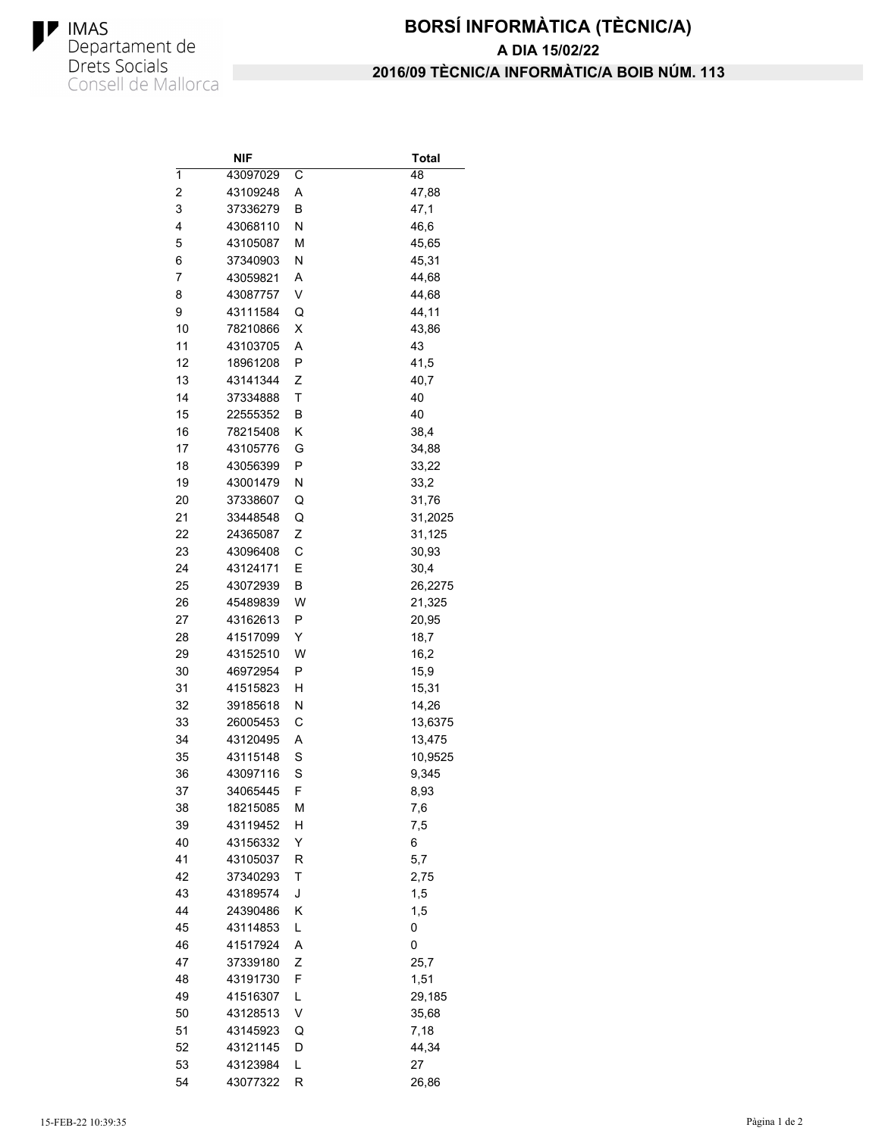

## **BORSÍ INFORMÀTICA (TÈCNIC/A) 2016/09 TÈCNIC/A INFORMÀTIC/A BOIB NÚM. 113 A DIA 15/02/22**

|    | <b>NIF</b> |   | Total      |
|----|------------|---|------------|
| 1  | 43097029   | С | 48         |
| 2  | 43109248   | Α | 47,88      |
| 3  | 37336279   | В | 47,1       |
| 4  | 43068110   | Ν | 46,6       |
| 5  | 43105087   | М | 45,65      |
| 6  | 37340903   | Ν | 45,31      |
| 7  | 43059821   | Α | 44,68      |
| 8  | 43087757   | V | 44,68      |
| 9  | 43111584   | Q | 44,11      |
| 10 | 78210866   | X | 43,86      |
| 11 | 43103705   | A | 43         |
| 12 | 18961208   | P | 41,5       |
| 13 | 43141344   | Ζ | 40,7       |
| 14 | 37334888   | Т | 40         |
| 15 | 22555352   | В | 40         |
| 16 | 78215408   | Κ | 38,4       |
| 17 | 43105776   | G | 34,88      |
| 18 | 43056399   | P | 33,22      |
| 19 | 43001479   | Ν | 33,2       |
| 20 | 37338607   | Q | 31,76      |
| 21 | 33448548   | Q | 31,2025    |
| 22 | 24365087   | Ζ | 31,125     |
| 23 | 43096408   | С | 30,93      |
| 24 | 43124171   | E | 30,4       |
| 25 | 43072939   | В | 26,2275    |
| 26 | 45489839   | W | 21,325     |
| 27 | 43162613   | P | 20,95      |
| 28 | 41517099   | Y | 18,7       |
| 29 | 43152510   | W | 16,2       |
| 30 | 46972954   | Ρ | 15,9       |
| 31 | 41515823   | н | 15,31      |
| 32 | 39185618   | Ν | 14,26      |
| 33 | 26005453   | С | 13,6375    |
| 34 | 43120495   | Α | 13,475     |
| 35 | 43115148   | S | 10,9525    |
| 36 | 43097116   | S | 9,345      |
| 37 | 34065445   | F | 8,93       |
| 38 | 18215085   | М | 7,6        |
| 39 | 43119452   | Η | 7,5        |
| 40 | 43156332   | Υ | 6          |
| 41 | 43105037   | R | 5,7        |
| 42 | 37340293   | T |            |
| 43 | 43189574   | J | 2,75       |
| 44 | 24390486   | Κ | 1,5<br>1,5 |
|    |            | Г |            |
| 45 | 43114853   |   | 0          |
| 46 | 41517924   | Α | 0          |
| 47 | 37339180   | Ζ | 25,7       |
| 48 | 43191730   | F | 1,51       |
| 49 | 41516307   | L | 29,185     |
| 50 | 43128513   | V | 35,68      |
| 51 | 43145923   | Q | 7,18       |
| 52 | 43121145   | D | 44,34      |
| 53 | 43123984   | Г | 27         |
| 54 | 43077322   | R | 26,86      |